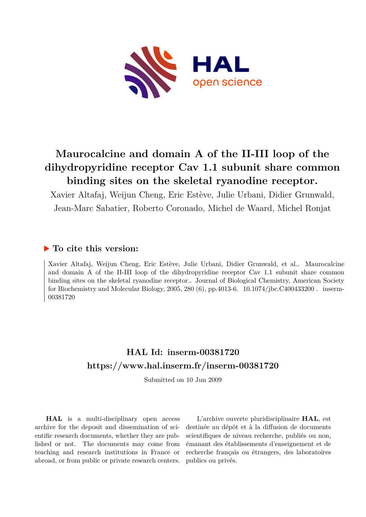

# **Maurocalcine and domain A of the II-III loop of the dihydropyridine receptor Cav 1.1 subunit share common binding sites on the skeletal ryanodine receptor.**

Xavier Altafaj, Weijun Cheng, Eric Estève, Julie Urbani, Didier Grunwald, Jean-Marc Sabatier, Roberto Coronado, Michel de Waard, Michel Ronjat

## **To cite this version:**

Xavier Altafaj, Weijun Cheng, Eric Estève, Julie Urbani, Didier Grunwald, et al.. Maurocalcine and domain A of the II-III loop of the dihydropyridine receptor Cav 1.1 subunit share common binding sites on the skeletal ryanodine receptor.. Journal of Biological Chemistry, American Society for Biochemistry and Molecular Biology, 2005, 280  $(6)$ , pp.4013-6.  $10.1074$ /jbc.C400433200. inserm-00381720ff

## **HAL Id: inserm-00381720 <https://www.hal.inserm.fr/inserm-00381720>**

Submitted on 10 Jun 2009

**HAL** is a multi-disciplinary open access archive for the deposit and dissemination of scientific research documents, whether they are published or not. The documents may come from teaching and research institutions in France or abroad, or from public or private research centers.

L'archive ouverte pluridisciplinaire **HAL**, est destinée au dépôt et à la diffusion de documents scientifiques de niveau recherche, publiés ou non, émanant des établissements d'enseignement et de recherche français ou étrangers, des laboratoires publics ou privés.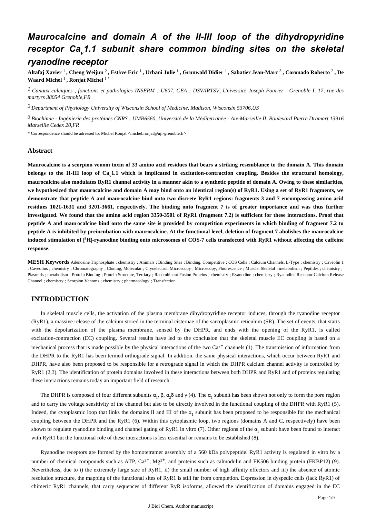## *Maurocalcine and domain A of the II-III loop of the dihydropyridine receptor Ca.1.1 subunit share common binding sites on the skeletal ryanodine receptor*

Altafaj Xavier  $^1$ , Cheng Weijun  $^2$ , Estève Eric  $^1$ , Urbani Julie  $^1$ , Grunwald Didier  $^1$ , Sabatier Jean-Marc  $^3$ , Coronado Roberto  $^2$ , De **Waard Michel** <sup>1</sup> **, Ronjat Michel** <sup>1</sup> \*

*Canaux calciques , fonctions et pathologies 1 INSERM : U607, CEA : DSV/IRTSV, Universit*é *Joseph Fourier - Grenoble I, 17, rue des martyrs 38054 Grenoble,FR*

*Department of Physiology 2 University of Wisconsin School of Medicine, Madison, Wisconsin 53706,US*

*Biochimie - Ing nierie des prot ines 3* <sup>é</sup> <sup>é</sup> *CNRS : UMR6560, Universit*é *de la M*é*diterran*é*e - Aix-Marseille II, Boulevard Pierre Dramart 13916 Marseille Cedex 20,FR*

\* Correspondence should be adressed to: Michel Ronjat <michel.ronjat@ujf-grenoble.fr>

#### **Abstract**

**Maurocalcine is a scorpion venom toxin of 33 amino acid residues that bears a striking resemblance to the domain A. This domain** belongs to the II-III loop of Ca<sub>v</sub>1.1 which is implicated in excitation-contraction coupling. Besides the structural homology, **maurocalcine also modulates RyR1 channel activity in a manner akin to a synthetic peptide of domain A. Owing to these similarities, we hypothesized that maurocalcine and domain A may bind onto an identical region(s) of RyR1. Using a set of RyR1 fragments, we demonstrate that peptide A and maurocalcine bind onto two discrete RyR1 regions: fragments 3 and 7 encompassing amino acid residues 1021-1631 and 3201-3661, respectively. The binding onto fragment 7 is of greater importance and was thus further investigated. We found that the amino acid region 3350-3501 of RyR1 (fragment 7.2) is sufficient for these interactions. Proof that peptide A and maurocalcine bind onto the same site is provided by competition experiments in which binding of fragment 7.2 to peptide A is inhibited by preincubation with maurocalcine. At the functional level, deletion of fragment 7 abolishes the maurocalcine** induced stimulation of [<sup>3</sup>H]-ryanodine binding onto microsomes of COS-7 cells transfected with RyR1 without affecting the caffeine **response.**

**MESH Keywords** Adenosine Triphosphate ; chemistry ; Animals ; Binding Sites ; Binding, Competitive ; COS Cells ; Calcium Channels, L-Type ; chemistry ; Caveolin 1 ; Caveolins ; chemistry ; Chromatography ; Cloning, Molecular ; Cryoelectron Microscopy ; Microscopy, Fluorescence ; Muscle, Skeletal ; metabolism ; Peptides ; chemistry ; Plasmids ; metabolism ; Protein Binding ; Protein Structure, Tertiary ; Recombinant Fusion Proteins ; chemistry ; Ryanodine ; chemistry ; Ryanodine Receptor Calcium Release Channel ; chemistry ; Scorpion Venoms ; chemistry ; pharmacology ; Transfection

### **INTRODUCTION**

In skeletal muscle cells, the activation of the plasma membrane dihydropyridine receptor induces, through the ryanodine receptor (RyR1), a massive release of the calcium stored in the terminal cisternae of the sarcoplasmic reticulum (SR). The set of events, that starts with the depolarization of the plasma membrane, sensed by the DHPR, and ends with the opening of the RyR1, is called excitation-contraction (EC) coupling. Several results have led to the conclusion that the skeletal muscle EC coupling is based on a mechanical process that is made possible by the physical interactions of the two  $Ca^{2+}$  channels (1). The transmission of information from the DHPR to the RyR1 has been termed orthograde signal. In addition, the same physical interactions, which occur between RyR1 and DHPR, have also been proposed to be responsible for a retrograde signal in which the DHPR calcium channel activity is controlled by RyR1 (2,3). The identification of protein domains involved in these interactions between both DHPR and RyR1 and of proteins regulating these interactions remains today an important field of research.

The DHPR is composed of four different subunits  $\alpha_1$ ,  $\beta$ ,  $\alpha_2\delta$  and  $\gamma$  (4). The  $\alpha_1$  subunit has been shown not only to form the pore region and to carry the voltage sensitivity of the channel but also to be directly involved in the functional coupling of the DHPR with RyR1 (5). Indeed, the cytoplasmic loop that links the domains II and III of the  $\alpha_1$  subunit has been proposed to be responsible for the mechanical coupling between the DHPR and the RyR1 (6). Within this cytoplasmic loop, two regions (domains A and C, respectively) have been shown to regulate ryanodine binding and channel gating of RyR1 in vitro (7). Other regions of the  $\alpha_1$ , subunit have been found to interact with RyR1 but the functional role of these interactions is less essential or remains to be established (8).

Ryanodine receptors are formed by the homotetramer assembly of a 560 kDa polypeptide. RyR1 activity is regulated in vitro by a number of chemical compounds such as ATP,  $Ca^{2+}$ , Mg<sup>2+</sup>, and proteins such as calmodulin and FK506 binding protein (FKBP12) (9). Nevertheless, due to i) the extremely large size of RyR1, ii) the small number of high affinity effectors and iii) the absence of atomic resolution structure, the mapping of the functional sites of RyR1 is still far from completion. Expression in dyspedic cells (lack RyR1) of chimeric RyR1 channels, that carry sequences of different RyR isoforms, allowed the identification of domains engaged in the EC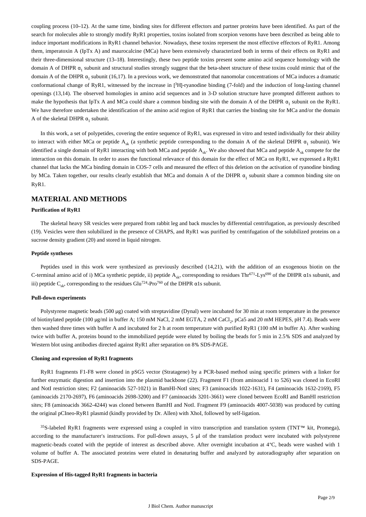coupling process (10–12). At the same time, binding sites for different effectors and partner proteins have been identified. As part of the search for molecules able to strongly modify RyR1 properties, toxins isolated from scorpion venoms have been described as being able to induce important modifications in RyR1 channel behavior. Nowadays, these toxins represent the most effective effectors of RyR1. Among them, imperatoxin A (IpTx A) and maurocalcine (MCa) have been extensively characterized both in terms of their effects on RyR1 and their three-dimensional structure (13–18). Interestingly, these two peptide toxins present some amino acid sequence homology with the domain A of DHPR  $\alpha_1$  subunit and structural studies strongly suggest that the beta-sheet structure of these toxins could mimic that of the domain A of the DHPR  $\alpha_1$  subunit (16,17). In a previous work, we demonstrated that nanomolar concentrations of MCa induces a dramatic conformational change of RyR1, witnessed by the increase in [ ${}^{3}H$ ]-ryanodine binding (7-fold) and the induction of long-lasting channel openings (13,14). The observed homologies in amino acid sequences and in 3-D solution structure have prompted different authors to make the hypothesis that IpTx A and MCa could share a common binding site with the domain A of the DHPR  $\alpha_1$  subunit on the RyR1. We have therefore undertaken the identification of the amino acid region of RyR1 that carries the binding site for MCa and/or the domain A of the skeletal DHPR  $\alpha_1$  subunit.

In this work, a set of polypetides, covering the entire sequence of RyR1, was expressed in vitro and tested individually for their ability to interact with either MCa or peptide A<sub>sk</sub> (a synthetic peptide corresponding to the domain A of the skeletal DHPR  $\alpha_1$  subunit). We identified a single domain of RyR1 interacting with both MCa and peptide  $A_{sk}$ . We also showed that MCa and peptide  $A_{sk}$  compete for the interaction on this domain. In order to asses the functional relevance of this domain for the effect of MCa on RyR1, we expressed a RyR1 channel that lacks the MCa binding domain in COS-7 cells and measured the effect of this deletion on the activation of ryanodine binding by MCa. Taken together, our results clearly establish that MCa and domain A of the DHPR  $\alpha_1$  subunit share a common binding site on RyR1.

### **MATERIAL AND METHODS**

#### **Purification of RyR1**

The skeletal heavy SR vesicles were prepared from rabbit leg and back muscles by differential centrifugation, as previously described (19). Vesicles were then solubilized in the presence of CHAPS, and RyR1 was purified by centrifugation of the solubilized proteins on a sucrose density gradient (20) and stored in liquid nitrogen.

#### **Peptide syntheses**

Peptides used in this work were synthesized as previously described (14,21), with the addition of an exogenous biotin on the C-terminal amino acid of i) MCa synthetic peptide, ii) peptide  $A_{sk}$ , corresponding to residues Thr<sup>671</sup>-Lys<sup>690</sup> of the DHPR  $\alpha$ 1s subunit, and iii) peptide C<sub>sk</sub>, corresponding to the residues Glu<sup>724</sup>-Pro<sup>760</sup> of the DHPR  $\alpha$ 1s subunit.

#### **Pull-down experiments**

Polystyrene magnetic beads (500 μg) coated with streptavidine (Dynal) were incubated for 30 min at room temperature in the presence of biotinylated peptide (100 μg/ml in buffer A; 150 mM NaCl, 2 mM EGTA, 2 mM CaCl, pCa5 and 20 mM HEPES, pH 7.4). Beads were then washed three times with buffer A and incubated for 2 h at room temperature with purified RyR1 (100 nM in buffer A). After washing twice with buffer A, proteins bound to the immobilized peptide were eluted by boiling the beads for 5 min in 2.5% SDS and analyzed by Western blot using antibodies directed against RyR1 after separation on 8% SDS-PAGE.

#### **Cloning and expression of RyR1 fragments**

RyR1 fragments F1-F8 were cloned in pSG5 vector (Stratagene) by a PCR-based method using specific primers with a linker for further enzymatic digestion and insertion into the plasmid backbone (22). Fragment F1 (from aminoacid 1 to 526) was cloned in EcoRI and NotI restriction sites; F2 (aminoacids 527-1021) in BamHI-NotI sites; F3 (aminoacids 1022-1631), F4 (aminoacids 1632-2169), F5 (aminoacids 2170-2697), F6 (aminoacids 2698-3200) and F7 (aminoacids 3201-3661) were cloned between EcoRI and BamHI restriction sites; F8 (aminoacids 3662-4244) was cloned between BamHI and NotI. Fragment F9 (aminoacids 4007-5038) was produced by cutting the original pCIneo-RyR1 plasmid (kindly provided by Dr. Allen) with XhoI, followed by self-ligation.

<sup>35</sup>S-labeled RyR1 fragments were expressed using a coupled in vitro transcription and translation system (TNT™ kit, Promega), according to the manufacturer's instructions. For pull-down assays, 5 μl of the translation product were incubated with polystyrene magnetic-beads coated with the peptide of interest as described above. After overnight incubation at 4°C, beads were washed with 1 volume of buffer A. The associated proteins were eluted in denaturing buffer and analyzed by autoradiography after separation on SDS-PAGE.

#### **Expression of His-tagged RyR1 fragments in bacteria**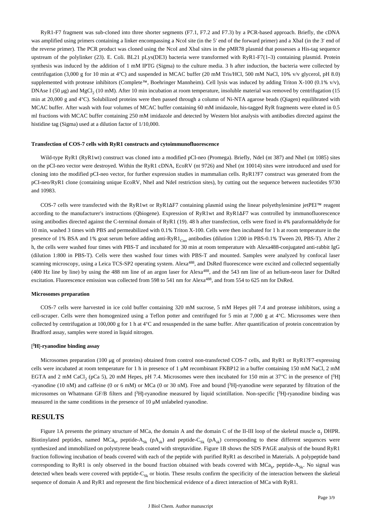RyR1-F7 fragment was sub-cloned into three shorter segments (F7.1, F7.2 and F7.3) by a PCR-based approach. Briefly, the cDNA was amplified using primers containing a linker encompassing a NcoI site (in the 5' end of the forward primer) and a XbaI (in the 3' end of the reverse primer). The PCR product was cloned using the NcoI and XbaI sites in the pMR78 plasmid that possesses a His-tag sequence upstream of the polylinker (23). E. Coli. BL21 pLys(DE3) bacteria were transformed with RyR1-F7(1–3) containing plasmid. Protein synthesis was induced by the addition of 1 mM IPTG (Sigma) to the culture media. 3 h after induction, the bacteria were collected by centrifugation (3,000 g for 10 min at 4°C) and suspended in MCAC buffer (20 mM Tris/HCl, 500 mM NaCl, 10% v/v glycerol, pH 8.0) supplemented with protease inhibitors (Complete™, Boehringer Mannheim). Cell lysis was induced by adding Triton X-100 (0.1% v/v), DNAse I (50 µg) and MgCl<sub>2</sub> (10 mM). After 10 min incubation at room temperature, insoluble material was removed by centrifugation (15 min at 20,000 g and 4°C). Solubilized proteins were then passed through a column of Ni-NTA agarose beads (Qiagen) equilibrated with MCAC buffer. After wash with four volumes of MCAC buffer containing 60 mM imidazole, his-tagged RyR fragments were eluted in 0.5 ml fractions with MCAC buffer containing 250 mM imidazole and detected by Western blot analysis with antibodies directed against the histidine tag (Sigma) used at a dilution factor of 1/10,000.

#### **Transfection of COS-7 cells with RyR1 constructs and cytoimmunofluorescence**

Wild-type RyR1 (RyR1wt) construct was cloned into a modified pCI-neo (Promega). Briefly, NdeI (nt 387) and NheI (nt 1085) sites on the pCI-neo vector were destroyed. Within the RyR1 cDNA, EcoRV (nt 9726) and NheI (nt 10014) sites were introduced and used for cloning into the modified pCI-neo vector, for further expression studies in mammalian cells. RyR1?F7 construct was generated from the pCI-neo/RyR1 clone (containing unique EcoRV, NheI and NdeI restriction sites), by cutting out the sequence between nucleotides 9730 and 10983.

COS-7 cells were transfected with the RyR1wt or RyR1ΔF7 containing plasmid using the linear polyethylenimine jetPEI™ reagent according to the manufacturer's instructions (Qbiogene). Expression of RyR1wt and RyR1ΔF7 was controlled by immunofluorescence using antibodies directed against the C-terminal domain of RyR1 (19). 48 h after transfection, cells were fixed in 4% paraformaldehyde for 10 min, washed 3 times with PBS and permeabilized with 0.1% Triton X-100. Cells were then incubated for 1 h at room temperature in the presence of 1% BSA and 1% goat serum before adding anti-RyR1<sub>Cter</sub> antibodies (dilution 1:200 in PBS-0.1% Tween 20, PBS-T). After 2 h, the cells were washed four times with PBS-T and incubated for 30 min at room temperature with Alexa488-conjugated anti-rabbit IgG (dilution 1:800 in PBS-T). Cells were then washed four times with PBS-T and mounted. Samples were analyzed by confocal laser scanning microscopy, using a Leica TCS-SP2 operating system. Alexa<sup>488</sup>, and DsRed fluorescence were excited and collected sequentially (400 Hz line by line) by using the 488 nm line of an argon laser for Alexa<sup>488</sup>, and the 543 nm line of an helium-neon laser for DsRed excitation. Fluorescence emission was collected from 598 to 541 nm for Alexa<sup>488</sup>, and from 554 to 625 nm for DsRed.

#### **Microsomes preparation**

COS-7 cells were harvested in ice cold buffer containing 320 mM sucrose, 5 mM Hepes pH 7.4 and protease inhibitors, using a cell-scraper. Cells were then homogenized using a Teflon potter and centrifuged for 5 min at 7,000 g at 4°C. Microsomes were then collected by centrifugation at 100,000 g for 1 h at 4°C and resuspended in the same buffer. After quantification of protein concentration by Bradford assay, samples were stored in liquid nitrogen.

#### [ **<sup>3</sup>H**]**-ryanodine binding assay**

Microsomes preparation (100 μg of proteins) obtained from control non-transfected COS-7 cells, and RyR1 or RyR1?F7-expressing cells were incubated at room temperature for 1 h in presence of 1 μM recombinant FKBP12 in a buffer containing 150 mM NaCl, 2 mM EGTA and 2 mM CaCl<sub>2</sub> (pCa 5), 20 mM Hepes, pH 7.4. Microsomes were then incubated for 150 min at 37°C in the presence of [<sup>3</sup>H] -ryanodine (10 nM) and caffeine (0 or 6 mM) or MCa (0 or 30 nM). Free and bound [<sup>3</sup>H]-ryanodine were separated by filtration of the microsomes on Whatmann GF/B filters and [<sup>3</sup>H]-ryanodine measured by liquid scintillation. Non-specific [<sup>3</sup>H]-ryanodine binding was measured in the same conditions in the presence of 10 μM unlabeled ryanodine.

#### **RESULTS**

Figure 1A presents the primary structure of MCa, the domain A and the domain C of the II-III loop of the skeletal muscle  $\alpha_1$  DHPR. Biotinylated peptides, named MCa<sub>b</sub>, peptide-A<sub>sk</sub> (pA<sub>sk</sub>) and peptide-C<sub>sk</sub> (pA<sub>sk</sub>) corresponding to these different sequences were synthesized and immobilized on polystyrene beads coated with streptavidine. Figure 1B shows the SDS PAGE analysis of the bound RyR1 fraction following incubation of beads covered with each of the peptide with purified RyR1 as described in Materials. A polypeptide band corresponding to RyR1 is only observed in the bound fraction obtained with beads covered with  $MCa<sub>h</sub>$ , peptide-A<sub>Sk</sub>. No signal was detected when beads were covered with peptide-C<sub>sk</sub> or biotin. These results confirm the specificity of the interaction between the skeletal sequence of domain A and RyR1 and represent the first biochemical evidence of a direct interaction of MCa with RyR1.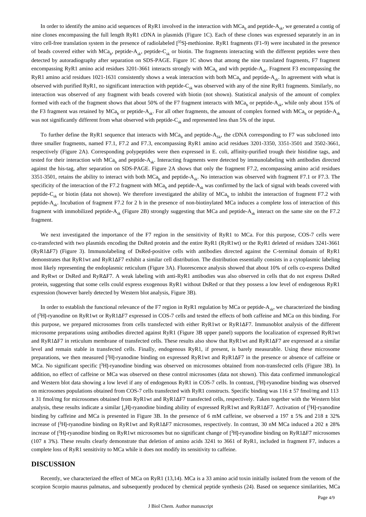In order to identify the amino acid sequences of RyR1 involved in the interaction with MCa<sub>b</sub> and peptide-A<sub>sk</sub>, we generated a contig of nine clones encompassing the full length RyR1 cDNA in plasmids (Figure 1C). Each of these clones was expressed separately in an in vitro cell-free translation system in the presence of radiolabeled [<sup>35</sup>S]-methionine. RyR1 fragments (F1-9) were incubated in the presence of beads covered either with  $MCa_b$ , peptide- $A_{sk}$ , peptide- $C_{sk}$  or biotin. The fragments interacting with the different peptides were then detected by autoradiography after separation on SDS-PAGE. Figure 1C shows that among the nine translated fragments, F7 fragment encompassing RyR1 amino acid residues 3201-3661 interacts strongly with MCa<sub>h</sub> and with peptide-A<sub>sk</sub>. Fragment F3 encompassing the RyR1 amino acid residues 1021-1631 consistently shows a weak interaction with both MCa<sub>b</sub> and peptide-A<sub>sk</sub>. In agreement with what is observed with purified RyR1, no significant interaction with peptide- $C_{sk}$  was observed with any of the nine RyR1 fragments. Similarly, no interaction was observed of any fragment with beads covered with biotin (not shown). Statistical analysis of the amount of complex formed with each of the fragment shows that about 50% of the F7 fragment interacts with MCa<sub>b</sub> or peptide-A<sub>sk</sub>, while only about 15% of the F3 fragment was retained by  $MCa_b$  or peptide- $A_{sk}$ . For all other fragments, the amount of complex formed with  $MCa_b$  or peptide- $A_{sk}$ was not significantly different from what observed with peptide- $C_{sk}$  and represented less than 5% of the input.

To further define the RyR1 sequence that interacts with MCa<sub>b</sub> and peptide-A<sub>Sk</sub>, the cDNA corresponding to F7 was subcloned into three smaller fragments, named F7.1, F7.2 and F7.3, encompassing RyR1 amino acid residues 3201-3350, 3351-3501 and 3502-3661, respectively (Figure 2A). Corresponding polypeptides were then expressed in E. coli, affinity-purified trough their histidine tags, and tested for their interaction with  $MCa<sub>h</sub>$  and peptide-A<sub>ck</sub>. Interacting fragments were detected by immunolabeling with antibodies directed against the his-tag, after separation on SDS-PAGE. Figure 2A shows that only the fragment F7.2, encompassing amino acid residues 3351-3501, retains the ability to interact with both MCa<sub>h</sub> and peptide- $A_{st}$ . No interaction was observed with fragment F7.1 or F7.3. The specificity of the interaction of the F7.2 fragment with MCa<sub>n</sub> and peptide- $A_{\rm st}$  was confirmed by the lack of signal with beads covered with peptide-C<sub>sk</sub> or biotin (data not shown). We therefore investigated the ability of MCa<sub>b</sub> to inhibit the interaction of fragment F7.2 with peptide- $A_{sk}$ . Incubation of fragment F7.2 for 2 h in the presence of non-biotinylated MCa induces a complete loss of interaction of this fragment with immobilized peptide-A<sub>sk</sub> (Figure 2B) strongly suggesting that MCa and peptide-A<sub>sk</sub> interact on the same site on the F7.2 fragment.

We next investigated the importance of the F7 region in the sensitivity of RyR1 to MCa. For this purpose, COS-7 cells were co-transfected with two plasmids encoding the DsRed protein and the entire RyR1 (RyR1wt) or the RyR1 deleted of residues 3241-3661 (RyR1ΔF7) (Figure 3). Immunolabeling of DsRed-positive cells with antibodies directed against the C-terminal domain of RyR1 demonstrates that RyR1wt and RyR1ΔF7 exhibit a similar cell distribution. The distribution essentially consists in a cytoplasmic labeling most likely representing the endoplasmic reticulum (Figure 3A). Fluorescence analysis showed that about 10% of cells co-express DsRed and RyRwt or DsRed and RyRΔF7. A weak labeling with anti-RyR1 antibodies was also observed in cells that do not express DsRed protein, suggesting that some cells could express exogenous RyR1 without DsRed or that they possess a low level of endogenous RyR1 expression (however barely detected by Western blot analysis, Figure 3B).

In order to establish the functional relevance of the F7 region in RyR1 regulation by MCa or peptide- $A_{sk}$ , we characterized the binding of [<sup>3</sup>H]-ryanodine on RyR1wt or RyR1ΔF7 expressed in COS-7 cells and tested the effects of both caffeine and MCa on this binding. For this purpose, we prepared microsomes from cells transfected with either RyR1wt or RyR1ΔF7. Immunoblot analysis of the different microsome preparations using antibodies directed against RyR1 (Figure 3B upper panel) supports the localization of expressed RyR1wt and RyR1ΔF7 in reticulum membrane of transfected cells. These results also show that RyR1wt and RyR1ΔF7 are expressed at a similar level and remain stable in transfected cells. Finally, endogenous RyR1, if present, is barely measurable. Using these microsome preparations, we then measured [3H]-ryanodine binding on expressed RyR1wt and RyR1 $\Delta$ F7 in the presence or absence of caffeine or MCa. No significant specific [3H]-ryanodine binding was observed on microsomes obtained from non-transfected cells (Figure 3B). In addition, no effect of caffeine or MCa was observed on these control microsomes (data not shown). This data confirmed immunological and Western blot data showing a low level if any of endogenous RyR1 in COS-7 cells. In contrast, [<sup>3</sup>H]-ryanodine binding was observed on microsomes populations obtained from COS-7 cells transfected with RyR1 constructs. Specific binding was 116 ± 57 fmol/mg and 113 ± 31 fmol/mg for microsomes obtained from RyR1wt and RyR1ΔF7 transfected cells, respectively. Taken together with the Western blot analysis, these results indicate a similar  $I_3H$ -ryanodine binding ability of expressed RyR1wt and RyR1 $\Delta$ F7. Activation of [3H]-ryanodine binding by caffeine and MCa is presented in Figure 3B. In the presence of 6 mM caffeine, we observed a 197  $\pm$  5% and 218  $\pm$  32% increase of [<sup>3</sup>H]-ryanodine binding on RyR1wt and RyR1 $\Delta$ F7 microsomes, respectively. In contrast, 30 nM MCa induced a 202  $\pm$  28% increase of [ ${}^{3}H$ ]-ryanodine binding on RyR1wt microsomes but no significant change of [ ${}^{3}H$ ]-ryanodine binding on RyR1 $\Delta$ F7 microsomes  $(107 \pm 3\%)$ . These results clearly demonstrate that deletion of amino acids 3241 to 3661 of RyR1, included in fragment F7, induces a complete loss of RyR1 sensitivity to MCa while it does not modify its sensitivity to caffeine.

### **DISCUSSION**

Recently, we characterized the effect of MCa on RyR1 (13,14). MCa is a 33 amino acid toxin initially isolated from the venom of the scorpion Scorpio maurus palmatus, and subsequently produced by chemical peptide synthesis (24). Based on sequence similarities, MCa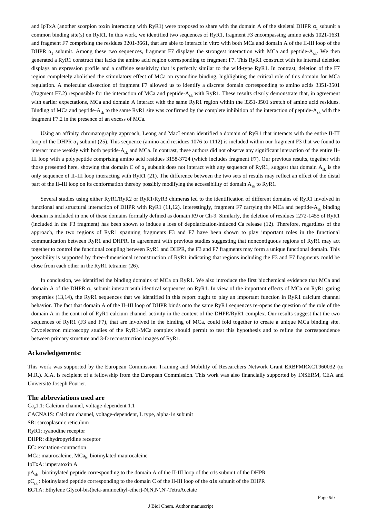and IpTxA (another scorpion toxin interacting with RyR1) were proposed to share with the domain A of the skeletal DHPR  $\alpha_1$ , subunit a common binding site(s) on RyR1. In this work, we identified two sequences of RyR1, fragment F3 encompassing amino acids 1021-1631 and fragment F7 comprising the residues 3201-3661, that are able to interact in vitro with both MCa and domain A of the II-III loop of the DHPR  $\alpha_1$  subunit. Among these two sequences, fragment F7 displays the strongest interaction with MCa and peptide-A<sub>sk</sub>. We then generated a RyR1 construct that lacks the amino acid region corresponding to fragment F7. This RyR1 construct with its internal deletion displays an expression profile and a caffeine sensitivity that is perfectly similar to the wild-type RyR1. In contrast, deletion of the F7 region completely abolished the stimulatory effect of MCa on ryanodine binding, highlighting the critical role of this domain for MCa regulation. A molecular dissection of fragment F7 allowed us to identify a discrete domain corresponding to amino acids 3351-3501 (fragment F7.2) responsible for the interaction of MCa and peptide- $A_{sk}$  with RyR1. These results clearly demonstrate that, in agreement with earlier expectations, MCa and domain A interact with the same RyR1 region within the 3351-3501 stretch of amino acid residues. Binding of MCa and peptide-A<sub>sk</sub> to the same RyR1 site was confirmed by the complete inhibition of the interaction of peptide-A<sub>sk</sub> with the fragment F7.2 in the presence of an excess of MCa.

Using an affinity chromatography approach, Leong and MacLennan identified a domain of RyR1 that interacts with the entire II-III loop of the DHPR  $\alpha_1$  subunit (25). This sequence (amino acid residues 1076 to 1112) is included within our fragment F3 that we found to interact more weakly with both peptide- $A_{sk}$  and MCa. In contrast, these authors did not observe any significant interaction of the entire II-III loop with a polypeptide comprising amino acid residues 3158-3724 (which includes fragment F7). Our previous results, together with those presented here, showing that domain C of  $\alpha_1$  subunit does not interact with any sequence of RyR1, suggest that domain A<sub>sk</sub> is the only sequence of II–III loop interacting with RyR1 (21). The difference between the two sets of results may reflect an effect of the distal part of the II–III loop on its conformation thereby possibly modifying the accessibility of domain  $A_{st}$  to RyR1.

Several studies using either RyR1/RyR2 or RyR1/RyR3 chimeras led to the identification of different domains of RyR1 involved in functional and structural interaction of DHPR with RyR1 (11,12). Interestingly, fragment F7 carrying the MCa and peptide-A<sub>\*</sub> binding domain is included in one of these domains formally defined as domain R9 or Ch-9. Similarly, the deletion of residues 1272-1455 of RyR1 (included in the F3 fragment) has been shown to induce a loss of depolarization-induced Ca release (12). Therefore, regardless of the approach, the two regions of RyR1 spanning fragments F3 and F7 have been shown to play important roles in the functional communication between RyR1 and DHPR. In agreement with previous studies suggesting that noncontiguous regions of RyR1 may act together to control the functional coupling between RyR1 and DHPR, the F3 and F7 fragments may form a unique functional domain. This possibility is supported by three-dimensional reconstruction of RyR1 indicating that regions including the F3 and F7 fragments could be close from each other in the RyR1 tetramer (26).

In conclusion, we identified the binding domains of MCa on RyR1. We also introduce the first biochemical evidence that MCa and domain A of the DHPR  $\alpha_1$  subunit interact with identical sequences on RyR1. In view of the important effects of MCa on RyR1 gating properties (13,14), the RyR1 sequences that we identified in this report ought to play an important function in RyR1 calcium channel behavior. The fact that domain A of the II–III loop of DHPR binds onto the same RyR1 sequences re-opens the question of the role of the domain A in the cont rol of RyR1 calcium channel activity in the context of the DHPR/RyR1 complex. Our results suggest that the two sequences of RyR1 (F3 and F7), that are involved in the binding of MCa, could fold together to create a unique MCa binding site. Cryoelectron microscopy studies of the RyR1-MCa complex should permit to test this hypothesis and to refine the correspondence between primary structure and 3-D reconstruction images of RyR1.

#### **Ackowledgements:**

This work was supported by the European Commission Training and Mobility of Researchers Network Grant ERBFMRXCT960032 (to M.R.). X.A. is recipient of a fellowship from the European Commission. This work was also financially supported by INSERM, CEA and Université Joseph Fourier.

#### **The abbreviations used are**

 $Ca<sub>v</sub>1.1$ : Calcium channel, voltage-dependent 1.1 CACNA1S: Calcium channel, voltage-dependent, L type, alpha-1s subunit SR: sarcoplasmic reticulum RyR1: ryanodine receptor DHPR: dihydropyridine receptor EC: excitation-contraction  $MCa$ : maurocalcine,  $MCa_k$ , biotinylated maurocalcine IpTxA: imperatoxin A pAsk : biotinylated peptide corresponding to the domain A of the II-III loop of the α1s subunit of the DHPR  $pC_{sk}$ : biotinylated peptide corresponding to the domain C of the II-III loop of the  $\alpha$ 1s subunit of the DHPR EGTA: Ethylene Glycol-bis(beta-aminoethyl-ether)-N,N,N′,N′-TetraAcetate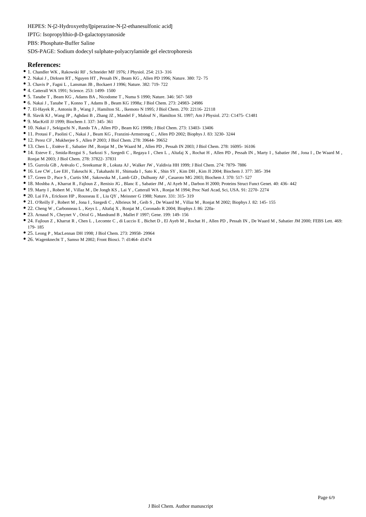HEPES: N-[2-Hydroxyethyl]piperazine-N-[2-ethanesulfonic acid]

IPTG: Isopropylthio-β-D-galactopyranoside

PBS: Phosphate-Buffer Saline

SDS-PAGE: Sodium dodecyl sulphate-polyacrylamide gel electrophoresis

#### **References:**

- 1. Chandler WK , Rakowski RF , Schneider MF 1976; J Physiol. 254: 213- 316
- 2. Nakai J , Dirksen RT , Nguyen HT , Pessah IN , Beam KG , Allen PD 1996; Nature. 380: 72- 75
- 3. Chavis P , Fagni L , Lansman JB , Bockaert J 1996; Nature. 382: 719- 722
- 4. Catterall WA 1991; Science. 253: 1499- 1500
- 5. Tanabe T , Beam KG , Adams BA , Nicodome T , Numa S 1990; Nature. 346: 567- 569
- 6. Nakai J , Tanabe T , Konno T , Adams B , Beam KG 1998a; J Biol Chem. 273: 24983- 24986
- 7. El-Hayek R , Antoniu B , Wang J , Hamilton SL , Ikemoto N 1995; J Biol Chem. 270: 22116- 22118
- 8. Slavik KJ , Wang JP , Aghdasi B , Zhang JZ , Mandel F , Malouf N , Hamilton SL 1997; Am J Physiol. 272: C1475- C1481
- 9. MacKrill JJ 1999; Biochem J. 337: 345- 361
- 10. Nakai J , Sekiguchi N , Rando TA , Allen PD , Beam KG 1998b; J Biol Chem. 273: 13403- 13406
- 11. Protasi F , Paolini C , Nakai J , Beam KG , Franzini-Armstrong C , Allen PD 2002; Biophys J. 83: 3230- 3244
- 12. Perez CF , Mukherjee S , Allen P 2003; J Biol Chem. 278: 39644- 39652
- 13. Chen L , Estève E , Sabatier JM , Ronjat M , De Waard M , Allen PD , Pessah IN 2003; J Biol Chem. 278: 16095- 16106
- 14. Esteve E , Smida-Rezgui S , Sarkozi S , Szegedi C , Regaya I , Chen L , Altafaj X , Rochat H , Allen PD , Pessah IN , Marty I , Sabatier JM , Jona I , De Waard M , Ronjat M 2003; J Biol Chem. 278: 37822- 37831
- 15. Gurrola GB , Arévalo C , Sreekumar R , Lokuta AJ , Walker JW , Valdivia HH 1999; J Biol Chem. 274: 7879- 7886
- 16. Lee CW , Lee EH , Takeuchi K , Takahashi H , Shimada I , Sato K , Shin SY , Kim DH , Kim JI 2004; Biochem J. 377: 385- 394
- 17. Green D , Pace S , Curtis SM , Sakowska M , Lamb GD , Dulhunty AF , Casaroto MG 2003; Biochem J. 370: 517- 527
- 18. Moshba A , Kharrat R , Fajloun Z , Renisio JG , Blanc E , Sabatier JM , Al Ayeb M , Darbon H 2000; Proteins Struct Funct Genet. 40: 436- 442
- 19. Marty I , Robert M , Villaz M , De Jongh KS , Lai Y , Catterall WA , Ronjat M 1994; Proc Natl Acad, Sci, USA. 91: 2270- 2274
- 20. Lai FA , Erickson HP , Rousseau E , Liu QY , Meissner G 1988; Nature. 331: 315- 319
- 21. O'Reilly F , Robert M , Jona I , Szegedi C , Albrieux M , Geib S , De Waard M , Villaz M , Ronjat M 2002; Biophys J. 82: 145- 155
- 22. Cheng W , Carbonneau L , Keys L , Altafaj X , Ronjat M , Coronado R 2004; Biophys J. 86: 220a-
- 23. Arnaud N , Cheynet V , Oriol G , Mandrand B , Mallet F 1997; Gene. 199: 149- 156
- 24. Fajloun Z , Kharrat R , Chen L , Lecomte C , di Luccio E , Bichet D , El Ayeb M , Rochat H , Allen PD , Pessah IN , De Waard M , Sabatier JM 2000; FEBS Lett. 469: 179- 185
- 25. Leong P , MacLennan DH 1998; J Biol Chem. 273: 29958- 29964
- 26. Wagenknecht T , Samso M 2002; Front Biosci. 7: d1464- d1474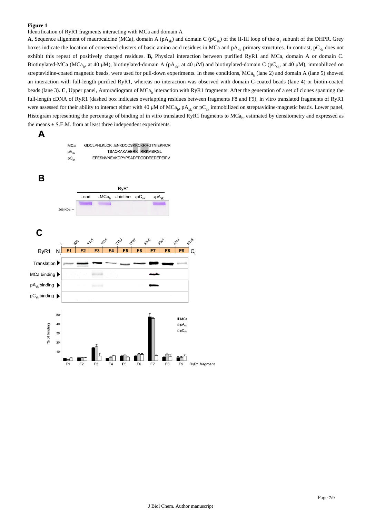#### **Figure 1**

Identification of RyR1 fragments interacting with MCa and domain A

**A**, Sequence alignment of maurocalcine (MCa), domain A ( $pA_{sk}$ ) and domain C ( $pC_{sk}$ ) of the II-III loop of the  $\alpha_1$  subunit of the DHPR. Grey boxes indicate the location of conserved clusters of basic amino acid residues in MCa and  $pA_{\alpha k}$  primary structures. In contrast,  $pC_{\alpha k}$  does not exhibit this repeat of positively charged residues. **B,** Physical interaction between purified RyR1 and MCa, domain A or domain C. Biotinylated-MCa (MCa<sub>b</sub>, at 40 µM), biotinylated-domain A (pA<sub>sk</sub>, at 40 µM) and biotinylated-domain C (pC<sub>sk</sub>, at 40 µM), immobilized on streptavidine-coated magnetic beads, were used for pull-down experiments. In these conditions,  $MCa<sub>h</sub>$  (lane 2) and domain A (lane 5) showed an interaction with full-length purified RyR1, whereas no interaction was observed with domain C-coated beads (lane 4) or biotin-coated beads (lane 3). **C**, Upper panel, Autoradiogram of MCa<sub>b</sub> interaction with RyR1 fragments. After the generation of a set of clones spanning the full-length cDNA of RyR1 (dashed box indicates overlapping residues between fragments F8 and F9), in vitro translated fragments of RyR1 were assessed for their ability to interact either with 40  $\mu$ M of MCa<sub>b</sub>, pA<sub>sk</sub> or pC<sub>sk</sub> immobilized on streptavidine-magnetic beads. Lower panel, Histogram representing the percentage of binding of in vitro translated RyR1 fragments to  $MCa_b$ , estimated by densitometry and expressed as the means ± S.E.M. from at least three independent experiments.

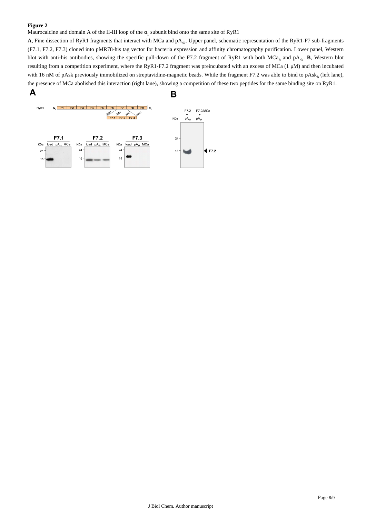#### **Figure 2**

Maurocalcine and domain A of the II-III loop of the  $\alpha_1$  subunit bind onto the same site of RyR1

A, Fine dissection of RyR1 fragments that interact with MCa and pA<sub>sk</sub>. Upper panel, schematic representation of the RyR1-F7 sub-fragments (F7.1, F7.2, F7.3) cloned into pMR78-his tag vector for bacteria expression and affinity chromatography purification. Lower panel, Western blot with anti-his antibodies, showing the specific pull-down of the F7.2 fragment of RyR1 with both MCa<sub>b</sub> and pA<sub>sk</sub>. **B**, Western blot resulting from a competition experiment, where the RyR1-F7.2 fragment was preincubated with an excess of MCa (1 μM) and then incubated with 16 nM of pAsk previously immobilized on streptavidine-magnetic beads. While the fragment F7.2 was able to bind to pAsk<sub>b</sub> (left lane), the presence of MCa abolished this interaction (right lane), showing a competition of these two peptides for the same binding site on RyR1.